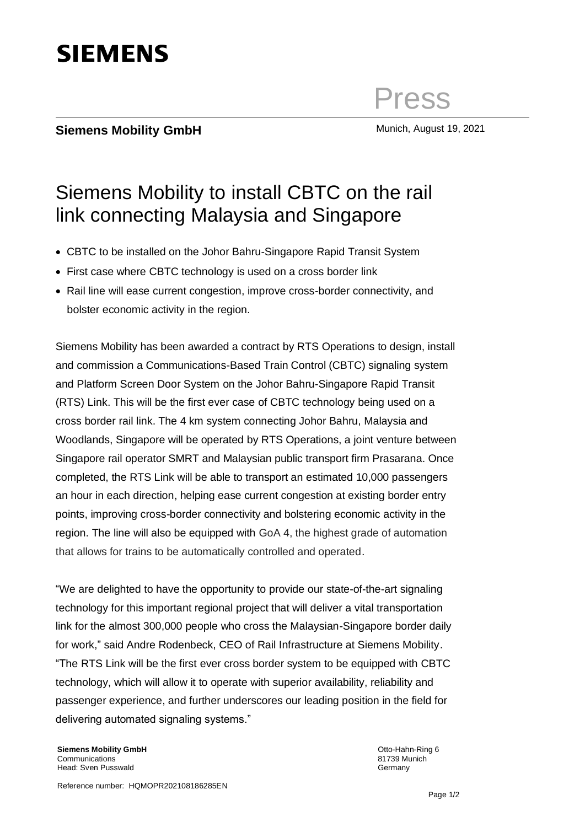# **SIEMENS**

## **Siemens Mobility GmbH** Munich, August 19, 2021

Press

# Siemens Mobility to install CBTC on the rail link connecting Malaysia and Singapore

- CBTC to be installed on the Johor Bahru-Singapore Rapid Transit System
- First case where CBTC technology is used on a cross border link
- Rail line will ease current congestion, improve cross-border connectivity, and bolster economic activity in the region.

Siemens Mobility has been awarded a contract by RTS Operations to design, install and commission a Communications-Based Train Control (CBTC) signaling system and Platform Screen Door System on the Johor Bahru-Singapore Rapid Transit (RTS) Link. This will be the first ever case of CBTC technology being used on a cross border rail link. The 4 km system connecting Johor Bahru, Malaysia and Woodlands, Singapore will be operated by RTS Operations, a joint venture between Singapore rail operator SMRT and Malaysian public transport firm Prasarana. Once completed, the RTS Link will be able to transport an estimated 10,000 passengers an hour in each direction, helping ease current congestion at existing border entry points, improving cross-border connectivity and bolstering economic activity in the region. The line will also be equipped with GoA 4, the highest grade of automation that allows for trains to be automatically controlled and operated.

"We are delighted to have the opportunity to provide our state-of-the-art signaling technology for this important regional project that will deliver a vital transportation link for the almost 300,000 people who cross the Malaysian-Singapore border daily for work," said Andre Rodenbeck, CEO of Rail Infrastructure at Siemens Mobility. "The RTS Link will be the first ever cross border system to be equipped with CBTC technology, which will allow it to operate with superior availability, reliability and passenger experience, and further underscores our leading position in the field for delivering automated signaling systems."

**Siemens Mobility GmbH** Communications Head: Sven Pusswald

Otto-Hahn-Ring 6 81739 Munich **Germany**